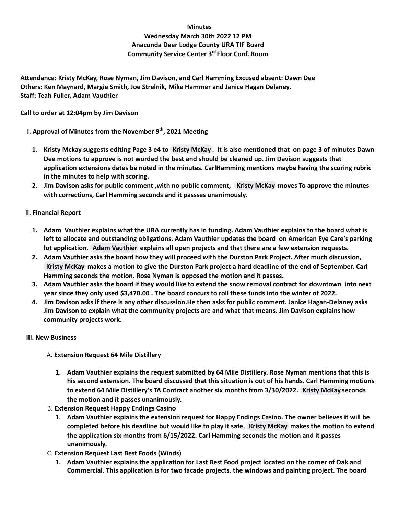#### **Minutes**

# **Wednesday March 30th 2022 12 PM Anaconda Deer Lodge County URA TIF Board Community Service Center 3 rd Floor Conf. Room**

**Attendance: Kristy McKay, Rose Nyman, Jim Davison, and Carl Hamming Excused absent: Dawn Dee Others: Ken Maynard, Margie Smith, Joe Strelnik, Mike Hammer and Janice Hagan Delaney. Staff: Teah Fuller, Adam Vauthier**

#### **Call to order at 12:04pm by Jim Davison**

**I. Approval of Minutes from the November 9 th , 2021 Meeting**

- 1. Kristy Mckay suggests editing Page 3 e4 to Kristy [McKay](mailto:KMcKay@glacierbank.com). It is also mentioned that on page 3 of minutes Dawn **Dee motions to approve is not worded the best and should be cleaned up. Jim Davison suggests that application extensions dates be noted in the minutes. CarlHamming mentions maybe having the scoring rubric in the minutes to help with scoring.**
- 2. Jim Davison asks for public comment , with no public comment, Kristy [McKay](mailto:KMcKay@glacierbank.com) moves To approve the minutes **with corrections, Carl Hamming seconds and it passses unanimously.**

# **II. Financial Report**

- 1. Adam Vauthier explains what the URA currently has in funding. Adam Vauthier explains to the board what is **left to allocate and outstanding obligations. Adam Vauthier updates the board on American Eye Care's parking lot application. Adam [Vauthier](mailto:adam@discoveranaconda.com) explains all open projects and that there are a few extension requests.**
- 2. Adam Vauthier asks the board how they will proceed with the Durston Park Project. After much discussion, Kristy [McKay](mailto:KMcKay@glacierbank.com) makes a motion to give the Durston Park project a hard deadline of the end of September. Carl **Hamming seconds the motion. Rose Nyman is opposed the motion and it passes.**
- 3. Adam Vauthier asks the board if they would like to extend the snow removal contract for downtown into next year since they only used \$3,470.00. The board concurs to roll these funds into the winter of 2022.
- 4. Jim Davison asks if there is any other discussion. He then asks for public comment. Janice Hagan-Delaney asks **Jim Davison to explain what the community projects are and what that means. Jim Davison explains how community projects work.**

#### **III. New Business**

- A. **Extension Request 64 Mile Distillery**
	- **1. Adam Vauthier explains the request submitted by 64 Mile Distillery. Rose Nyman mentions that this is his second extension. The board discussed that this situation is out of his hands. Carl Hamming motions to extend 64 Mile Distillery's TA Contract another six months from 3/30/2022. Kristy [McKay](mailto:KMcKay@glacierbank.com) seconds the motion and it passes unanimously.**
- B. **Extension Request Happy Endings Casino**
	- **1. Adam Vauthier explains the extension request for Happy Endings Casino. The owner believes it will be** completed before his deadline but would like to play it safe. Kristy [McKay](mailto:KMcKay@glacierbank.com) makes the motion to extend **the application six months from 6/15/2022. Carl Hamming seconds the motion and it passes unanimously.**
- C. **Extension Request Last Best Foods (Winds)**
	- 1. Adam Vauthier explains the application for Last Best Food project located on the corner of Oak and **Commercial. This application is for two facade projects, the windows and painting project. The board**